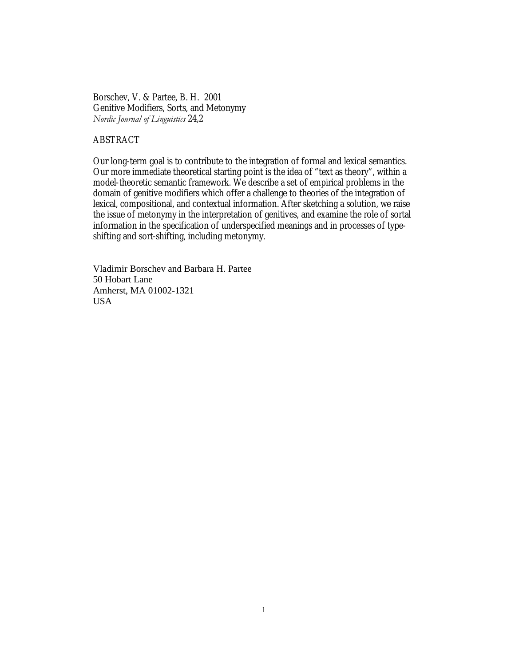Borschev, V. & Partee, B. H. 2001 Genitive Modifiers, Sorts, and Metonymy *Nordic Journal of Linguistics* 24,2

### ABSTRACT

Our long-term goal is to contribute to the integration of formal and lexical semantics. Our more immediate theoretical starting point is the idea of "text as theory", within a model-theoretic semantic framework. We describe a set of empirical problems in the domain of genitive modifiers which offer a challenge to theories of the integration of lexical, compositional, and contextual information. After sketching a solution, we raise the issue of metonymy in the interpretation of genitives, and examine the role of sortal information in the specification of underspecified meanings and in processes of typeshifting and sort-shifting, including metonymy.

Vladimir Borschev and Barbara H. Partee 50 Hobart Lane Amherst, MA 01002-1321 USA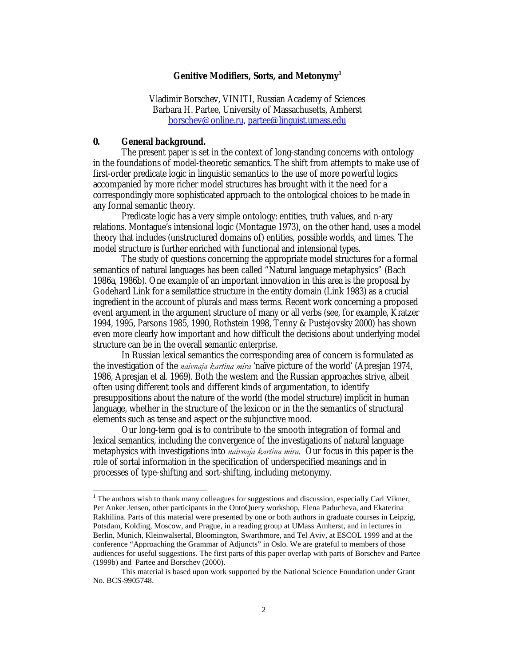#### **Genitive Modifiers, Sorts, and Metonymy1**

Vladimir Borschev, VINITI, Russian Academy of Sciences Barbara H. Partee, University of Massachusetts, Amherst borschev@online.ru, partee@linguist.umass.edu

#### **0. General background.**

l

 The present paper is set in the context of long-standing concerns with ontology in the foundations of model-theoretic semantics. The shift from attempts to make use of first-order predicate logic in linguistic semantics to the use of more powerful logics accompanied by more richer model structures has brought with it the need for a correspondingly more sophisticated approach to the ontological choices to be made in any formal semantic theory.

 Predicate logic has a very simple ontology: entities, truth values, and n-ary relations. Montague's intensional logic (Montague 1973), on the other hand, uses a model theory that includes (unstructured domains of) entities, possible worlds, and times. The model structure is further enriched with functional and intensional types.

 The study of questions concerning the appropriate model structures for a formal semantics of natural languages has been called "Natural language metaphysics" (Bach 1986a, 1986b). One example of an important innovation in this area is the proposal by Godehard Link for a semilattice structure in the entity domain (Link 1983) as a crucial ingredient in the account of plurals and mass terms. Recent work concerning a proposed event argument in the argument structure of many or all verbs (see, for example, Kratzer 1994, 1995, Parsons 1985, 1990, Rothstein 1998, Tenny & Pustejovsky 2000) has shown even more clearly how important and how difficult the decisions about underlying model structure can be in the overall semantic enterprise.

 In Russian lexical semantics the corresponding area of concern is formulated as the investigation of the *naivnaja kartina mira* 'naïve picture of the world' (Apresjan 1974, 1986, Apresjan et al. 1969). Both the western and the Russian approaches strive, albeit often using different tools and different kinds of argumentation, to identify presuppositions about the nature of the world (the model structure) implicit in human language, whether in the structure of the lexicon or in the the semantics of structural elements such as tense and aspect or the subjunctive mood.

 Our long-term goal is to contribute to the smooth integration of formal and lexical semantics, including the convergence of the investigations of natural language metaphysics with investigations into *naivnaja kartina mira.* Our focus in this paper is the role of sortal information in the specification of underspecified meanings and in processes of type-shifting and sort-shifting, including metonymy.

 $1$ <sup>1</sup> The authors wish to thank many colleagues for suggestions and discussion, especially Carl Vikner, Per Anker Jensen, other participants in the OntoQuery workshop, Elena Paducheva, and Ekaterina Rakhilina. Parts of this material were presented by one or both authors in graduate courses in Leipzig, Potsdam, Kolding, Moscow, and Prague, in a reading group at UMass Amherst, and in lectures in Berlin, Munich, Kleinwalsertal, Bloomington, Swarthmore, and Tel Aviv, at ESCOL 1999 and at the conference "Approaching the Grammar of Adjuncts" in Oslo. We are grateful to members of those audiences for useful suggestions. The first parts of this paper overlap with parts of Borschev and Partee (1999b) and Partee and Borschev (2000).

This material is based upon work supported by the National Science Foundation under Grant No. BCS-9905748.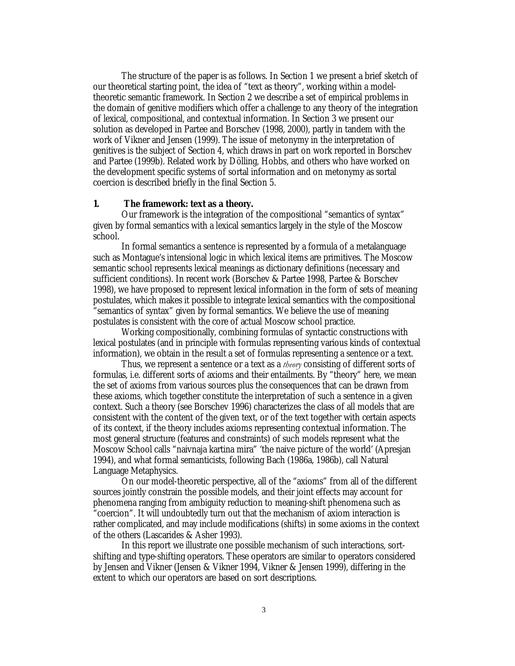The structure of the paper is as follows. In Section 1 we present a brief sketch of our theoretical starting point, the idea of "text as theory", working within a modeltheoretic semantic framework. In Section 2 we describe a set of empirical problems in the domain of genitive modifiers which offer a challenge to any theory of the integration of lexical, compositional, and contextual information. In Section 3 we present our solution as developed in Partee and Borschev (1998, 2000), partly in tandem with the work of Vikner and Jensen (1999). The issue of metonymy in the interpretation of genitives is the subject of Section 4, which draws in part on work reported in Borschev and Partee (1999b). Related work by Dölling, Hobbs, and others who have worked on the development specific systems of sortal information and on metonymy as sortal coercion is described briefly in the final Section 5.

### **1. The framework: text as a theory.**

 Our framework is the integration of the compositional "semantics of syntax" given by formal semantics with a lexical semantics largely in the style of the Moscow school.

 In formal semantics a sentence is represented by a formula of a metalanguage such as Montague's intensional logic in which lexical items are primitives. The Moscow semantic school represents lexical meanings as dictionary definitions (necessary and sufficient conditions). In recent work (Borschev & Partee 1998, Partee & Borschev 1998), we have proposed to represent lexical information in the form of sets of meaning postulates, which makes it possible to integrate lexical semantics with the compositional "semantics of syntax" given by formal semantics. We believe the use of meaning postulates is consistent with the core of actual Moscow school practice.

 Working compositionally, combining formulas of syntactic constructions with lexical postulates (and in principle with formulas representing various kinds of contextual information), we obtain in the result a set of formulas representing a sentence or a text.

 Thus, we represent a sentence or a text as a *theory* consisting of different sorts of formulas, i.e. different sorts of axioms and their entailments. By "theory" here, we mean the set of axioms from various sources plus the consequences that can be drawn from these axioms, which together constitute the interpretation of such a sentence in a given context. Such a theory (see Borschev 1996) characterizes the class of all models that are consistent with the content of the given text, or of the text together with certain aspects of its context, if the theory includes axioms representing contextual information. The most general structure (features and constraints) of such models represent what the Moscow School calls "naivnaja kartina mira" 'the naive picture of the world' (Apresjan 1994), and what formal semanticists, following Bach (1986a, 1986b), call Natural Language Metaphysics.

 On our model-theoretic perspective, all of the "axioms" from all of the different sources jointly constrain the possible models, and their joint effects may account for phenomena ranging from ambiguity reduction to meaning-shift phenomena such as "coercion". It will undoubtedly turn out that the mechanism of axiom interaction is rather complicated, and may include modifications (shifts) in some axioms in the context of the others (Lascarides & Asher 1993).

 In this report we illustrate one possible mechanism of such interactions, sortshifting and type-shifting operators. These operators are similar to operators considered by Jensen and Vikner (Jensen & Vikner 1994, Vikner & Jensen 1999), differing in the extent to which our operators are based on sort descriptions.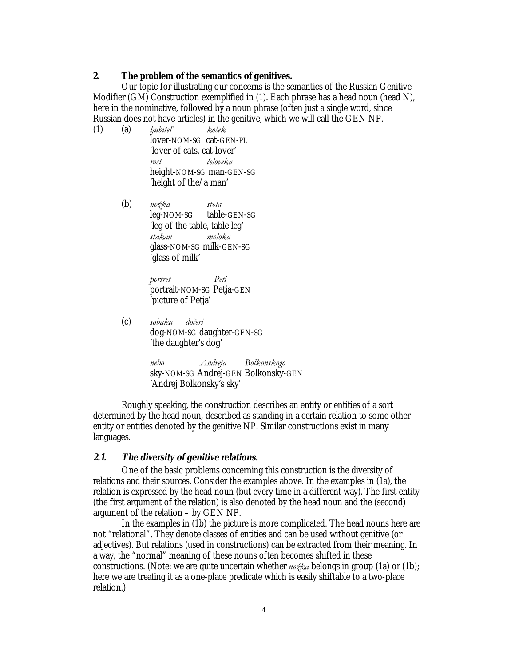## **2. The problem of the semantics of genitives.**

 Our topic for illustrating our concerns is the semantics of the Russian Genitive Modifier (GM) Construction exemplified in (1). Each phrase has a head noun (head N), here in the nominative, followed by a noun phrase (often just a single word, since Russian does not have articles) in the genitive, which we will call the GEN NP.

- (1) (a) *ljubitelí koöek*  lover-NOM-SG cat-GEN-PL 'lover of cats, cat-lover'  *rost čeloveka* height-NOM-SG man-GEN-SG 'height of the/a man'
	- **(b)** *nožka stola*  leg-NOM-SG table-GEN-SG 'leg of the table, table leg'  *stakan moloka*  glass-NOM-SG milk-GEN-SG 'glass of milk'

 *portret Peti* portrait-NOM-SG Petja-GEN 'picture of Petja'

(c) *sobaka dočeri* dog-NOM-SG daughter-GEN-SG 'the daughter's dog'

> *nebo Andreja Bolkonskogo* sky-NOM-SG Andrej-GEN Bolkonsky-GEN 'Andrej Bolkonsky's sky'

 Roughly speaking, the construction describes an entity or entities of a sort determined by the head noun, described as standing in a certain relation to some other entity or entities denoted by the genitive NP. Similar constructions exist in many languages.

## **2.1. The diversity of genitive relations.**

 One of the basic problems concerning this construction is the diversity of relations and their sources. Consider the examples above. In the examples in (1a), the relation is expressed by the head noun (but every time in a different way). The first entity (the first argument of the relation) is also denoted by the head noun and the (second) argument of the relation – by GEN NP.

 In the examples in (1b) the picture is more complicated. The head nouns here are not "relational". They denote classes of entities and can be used without genitive (or adjectives). But relations (used in constructions) can be extracted from their meaning. In a way, the "normal" meaning of these nouns often becomes shifted in these constructions. (Note: we are quite uncertain whether  $n \circ \xi \circ \xi a$  belongs in group (1a) or (1b); here we are treating it as a one-place predicate which is easily shiftable to a two-place relation.)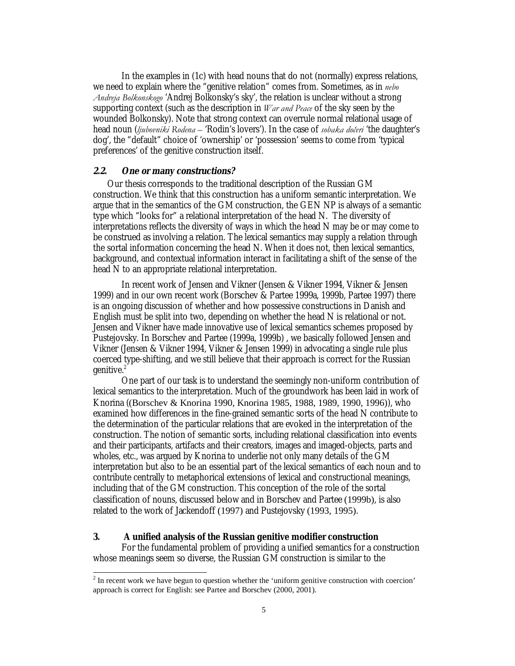In the examples in (1c) with head nouns that do not (normally) express relations, we need to explain where the "genitive relation" comes from. Sometimes, as in *nebo Andreja Bolkonskogo* 'Andrej Bolkonsky's sky', the relation is unclear without a strong supporting context (such as the description in *War and Peace* of the sky seen by the wounded Bolkonsky). Note that strong context can overrule normal relational usage of head noun (*ljubovniki Rodena* – 'Rodin's lovers'). In the case of *sobaka dočeri* 'the daughter's dog', the "default" choice of 'ownership' or 'possession' seems to come from 'typical preferences' of the genitive construction itself.

### **2.2. One or many constructions?**

Our thesis corresponds to the traditional description of the Russian GM construction. We think that this construction has a uniform semantic interpretation. We argue that in the semantics of the GM construction, the GEN NP is always of a semantic type which "looks for" a relational interpretation of the head N. The diversity of interpretations reflects the diversity of ways in which the head N may be or may come to be construed as involving a relation. The lexical semantics may supply a relation through the sortal information concerning the head N. When it does not, then lexical semantics, background, and contextual information interact in facilitating a shift of the sense of the head N to an appropriate relational interpretation.

 In recent work of Jensen and Vikner (Jensen & Vikner 1994, Vikner & Jensen 1999) and in our own recent work (Borschev & Partee 1999a, 1999b, Partee 1997) there is an ongoing discussion of whether and how possessive constructions in Danish and English must be split into two, depending on whether the head N is relational or not. Jensen and Vikner have made innovative use of lexical semantics schemes proposed by Pustejovsky. In Borschev and Partee (1999a, 1999b) , we basically followed Jensen and Vikner (Jensen & Vikner 1994, Vikner & Jensen 1999) in advocating a single rule plus coerced type-shifting, and we still believe that their approach is correct for the Russian genitive.<sup>2</sup>

 One part of our task is to understand the seemingly non-uniform contribution of lexical semantics to the interpretation. Much of the groundwork has been laid in work of Knorina ((Borschev & Knorina 1990, Knorina 1985, 1988, 1989, 1990, 1996)), who examined how differences in the fine-grained semantic sorts of the head N contribute to the determination of the particular relations that are evoked in the interpretation of the construction. The notion of semantic sorts, including relational classification into events and their participants, artifacts and their creators, images and imaged-objects, parts and wholes, etc., was argued by Knorina to underlie not only many details of the GM interpretation but also to be an essential part of the lexical semantics of each noun and to contribute centrally to metaphorical extensions of lexical and constructional meanings, including that of the GM construction. This conception of the role of the sortal classification of nouns, discussed below and in Borschev and Partee (1999b), is also related to the work of Jackendoff (1997) and Pustejovsky (1993, 1995).

## **3. A unified analysis of the Russian genitive modifier construction**

l

For the fundamental problem of providing a unified semantics for a construction whose meanings seem so diverse, the Russian GM construction is similar to the

 $2<sup>2</sup>$  In recent work we have begun to question whether the 'uniform genitive construction with coercion' approach is correct for English: see Partee and Borschev (2000, 2001).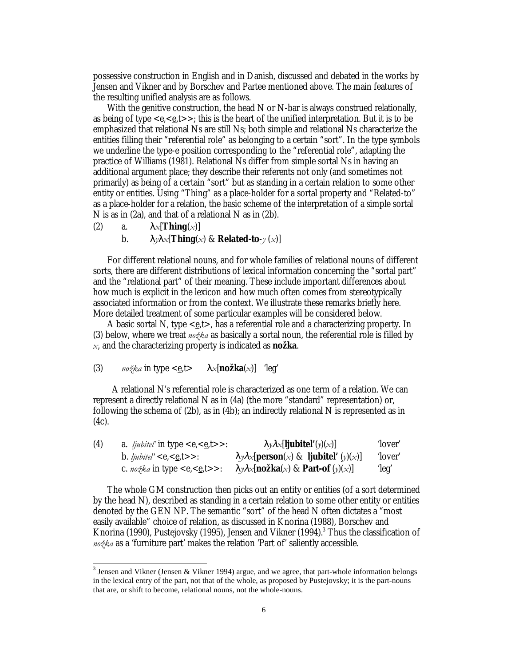possessive construction in English and in Danish, discussed and debated in the works by Jensen and Vikner and by Borschev and Partee mentioned above. The main features of the resulting unified analysis are as follows.

With the genitive construction, the head N or N-bar is always construed relationally, as being of type  $\langle e, \langle e, t \rangle \rangle$ ; this is the heart of the unified interpretation. But it is to be emphasized that relational Ns are still Ns; both simple and relational Ns characterize the entities filling their "referential role" as belonging to a certain "sort". In the type symbols we underline the type-e position corresponding to the "referential role", adapting the practice of Williams (1981). Relational Ns differ from simple sortal Ns in having an additional argument place; they describe their referents not only (and sometimes not primarily) as being of a certain "sort" but as standing in a certain relation to some other entity or entities. Using "Thing" as a place-holder for a sortal property and "Related-to" as a place-holder for a relation, the basic scheme of the interpretation of a simple sortal N is as in  $(2a)$ , and that of a relational N as in  $(2b)$ .

(2) a.  $\lambda x$ [**Thing**(*x*)]

l

b. λ*y*λ*x*[**Thing**(*x*) & **Related-to**-*y* (*x*)]

For different relational nouns, and for whole families of relational nouns of different sorts, there are different distributions of lexical information concerning the "sortal part" and the "relational part" of their meaning. These include important differences about how much is explicit in the lexicon and how much often comes from stereotypically associated information or from the context. We illustrate these remarks briefly here. More detailed treatment of some particular examples will be considered below.

A basic sortal N, type <e,t>, has a referential role and a characterizing property. In (3) below, where we treat  $n \circ \xi_{a}$  as basically a sortal noun, the referential role is filled by *x*, and the characterizing property is indicated as **nožka**.

(3) 
$$
no\{ka \in \mathbf{R} \mid \mathbf{R} \}
$$
 in type  $\langle \mathbf{e}, \mathbf{t} \rangle$   $\lambda \times \left[ \mathbf{no\mathbf{Z}ka}(\mathbf{x}) \right]$  'leg'

 A relational N's referential role is characterized as one term of a relation. We can represent a directly relational N as in (4a) (the more "standard" representation) or, following the schema of (2b), as in (4b); an indirectly relational N is represented as in (4c).

| (4) | a. <i>ljubitel</i> ' in type $\langle e, \langle e, t \rangle \rangle$ :        | $\lambda$ y $\lambda$ x[ <b>ljubitel'</b> (y)(x)]                                                                                        | 'lover' |
|-----|---------------------------------------------------------------------------------|------------------------------------------------------------------------------------------------------------------------------------------|---------|
|     | <b>b.</b> ljubitel' < <b>e</b> , < <b><u>e</u>, t</b> > >:                      | $\lambda$ y $\lambda$ x $\left\{ \text{person}(x) \& \text{ ljubitel}'(y)(x) \right\}$                                                   | 'lover' |
|     | c. <i>nožka</i> in type $\langle e, \langle \underline{e}, t \rangle \rangle$ : | $\lambda$ y $\lambda$ x $\left[\textbf{nožka}\left(\text{x}\right) \& \textbf{Part-of}\left(\text{y}\right)\left(\text{x}\right)\right]$ | 'leg'   |

The whole GM construction then picks out an entity or entities (of a sort determined by the head N), described as standing in a certain relation to some other entity or entities denoted by the GEN NP. The semantic "sort" of the head N often dictates a "most easily available" choice of relation, as discussed in Knorina (1988), Borschev and Knorina (1990), Pustejovsky (1995), Jensen and Vikner (1994).<sup>3</sup> Thus the classification of *nožka* as a 'furniture part' makes the relation 'Part of' saliently accessible.

<sup>&</sup>lt;sup>3</sup> Jensen and Vikner (Jensen & Vikner 1994) argue, and we agree, that part-whole information belongs in the lexical entry of the part, not that of the whole, as proposed by Pustejovsky; it is the part-nouns that are, or shift to become, relational nouns, not the whole-nouns.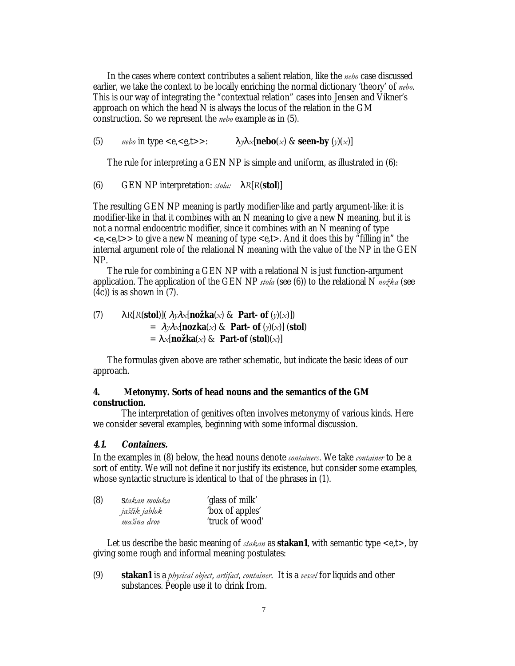In the cases where context contributes a salient relation, like the *nebo* case discussed earlier, we take the context to be locally enriching the normal dictionary 'theory' of *nebo*. This is our way of integrating the "contextual relation" cases into Jensen and Vikner's approach on which the head  $N$  is always the locus of the relation in the GM construction. So we represent the *nebo* example as in (5).

(5)  $nebo$  in type <e, <e, t>>:  $\lambda v \lambda x$  [**nebo** $(x)$  & **seen-by**  $(y)(x)$ ]

The rule for interpreting a GEN NP is simple and uniform, as illustrated in (6):

(6) GEN NP interpretation: *stola:* λ*R*[*R*(**stol**)]

 The resulting GEN NP meaning is partly modifier-like and partly argument-like: it is modifier-like in that it combines with an  $N$  meaning to give a new  $N$  meaning, but it is not a normal endocentric modifier, since it combines with an N meaning of type  $\langle e, \langle e, t \rangle$  to give a new N meaning of type  $\langle e, t \rangle$ . And it does this by "filling in" the internal argument role of the relational N meaning with the value of the NP in the GEN NP.

The rule for combining a GEN NP with a relational N is just function-argument application. The application of the GEN NP  $\mathit{stola}$  (see (6)) to the relational N  $\mathit{no\check{z}ka}$  (see  $(4c)$ ) is as shown in  $(7)$ .

(7)  $\lambda R[R(\text{stol})]( \lambda \lambda x[\text{nožka}(x) \& \text{Part- of } (\gamma(x)])$  $= \lambda y \lambda x$ [**nozka**(*x*) & **Part- of** (*y*)(*x*)] (**stol**)  $= \lambda x$ [**nožka**(*x*) & **Part-of** (**stol**)(*x*)]

The formulas given above are rather schematic, but indicate the basic ideas of our approach.

### **4. Metonymy. Sorts of head nouns and the semantics of the GM construction.**

 The interpretation of genitives often involves metonymy of various kinds. Here we consider several examples, beginning with some informal discussion.

### **4.1. Containers.**

In the examples in (8) below, the head nouns denote *containers*. We take *container* to be a sort of entity. We will not define it nor justify its existence, but consider some examples, whose syntactic structure is identical to that of the phrases in (1).

| (8) | <b>Stakan</b> moloka | 'glass of milk' |  |
|-----|----------------------|-----------------|--|
|     | jaščik jablok        | 'box of apples' |  |
|     | mašina drov          | 'truck of wood' |  |

Let us describe the basic meaning of *stakan* as **stakan1**, with semantic type <e,t>, by giving some rough and informal meaning postulates:

(9) **stakan1** is a *physical object*, *artifact*, *container*. It is a *vessel* for liquids and other substances. People use it to drink from.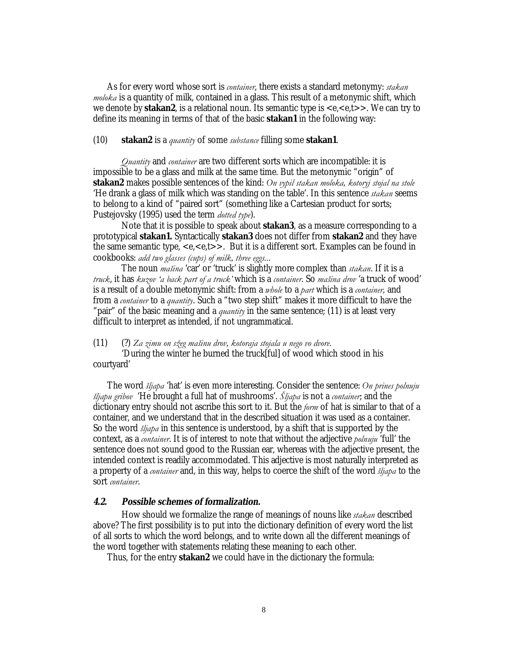As for every word whose sort is *container*, there exists a standard metonymy: *stakan moloka* is a quantity of milk, contained in a glass. This result of a metonymic shift, which we denote by **stakan2**, is a relational noun. Its semantic type is  $\langle e, \langle e, t \rangle \rangle$ . We can try to define its meaning in terms of that of the basic **stakan1** in the following way:

### (10) **stakan2** is a *quantity* of some *substance* filling some **stakan1**.

*Quantity* and *container* are two different sorts which are incompatible: it is impossible to be a glass and milk at the same time. But the metonymic "origin" of **stakan2** makes possible sentences of the kind: *On vypil stakan moloka, kotoryj stojal na stole* 'He drank a glass of milk which was standing on the table'. In this sentence *stakan* seems to belong to a kind of "paired sort" (something like a Cartesian product for sorts; Pustejovsky (1995) used the term *dotted type*).

 Note that it is possible to speak about **stakan3**, as a measure corresponding to a prototypical **stakan1.** Syntactically **stakan3** does not differ from **stakan2** and they have the same semantic type,  $\langle e, \langle e, t \rangle \rangle$ . But it is a different sort. Examples can be found in cookbooks: *add two glasses (cups) of milk, three eggs...* 

 The noun *maöina* 'car' or 'truck' is slightly more complex than *stakan*. If it is a *truck*, it has *kuzov ëa back part of a truckí* which is a *container*. So *maöina drov* 'a truck of wood' is a result of a double metonymic shift: from a *whole* to a *part* which is a *container,* and from a *container* to a *quantity*. Such a "two step shift" makes it more difficult to have the "pair" of the basic meaning and a *quantity* in the same sentence; (11) is at least very difficult to interpret as intended, if not ungrammatical.

(11) (?) *Za zimu on sûeg maöinu drov, kotoraja stojala u nego vo dvore.* 

'During the winter he burned the truck[ful] of wood which stood in his courtyard'

The word *öljapa* 'hat' is even more interesting. Consider the sentence: *On prines polnuju öljapu gribov* 'He brought a full hat of mushrooms'. *äljapa* is not a *container*; and the dictionary entry should not ascribe this sort to it. But the *form* of hat is similar to that of a container, and we understand that in the described situation it was used as a container. So the word *öljapa* in this sentence is understood, by a shift that is supported by the context, as a *container*. It is of interest to note that without the adjective *polnuju* 'full' the sentence does not sound good to the Russian ear, whereas with the adjective present, the intended context is readily accommodated. This adjective is most naturally interpreted as a property of a *container* and, in this way, helps to coerce the shift of the word *öljapa* to the sort *container*.

### **4.2. Possible schemes of formalization.**

 How should we formalize the range of meanings of nouns like *stakan* described above? The first possibility is to put into the dictionary definition of every word the list of all sorts to which the word belongs, and to write down all the different meanings of the word together with statements relating these meaning to each other.

Thus, for the entry **stakan2** we could have in the dictionary the formula: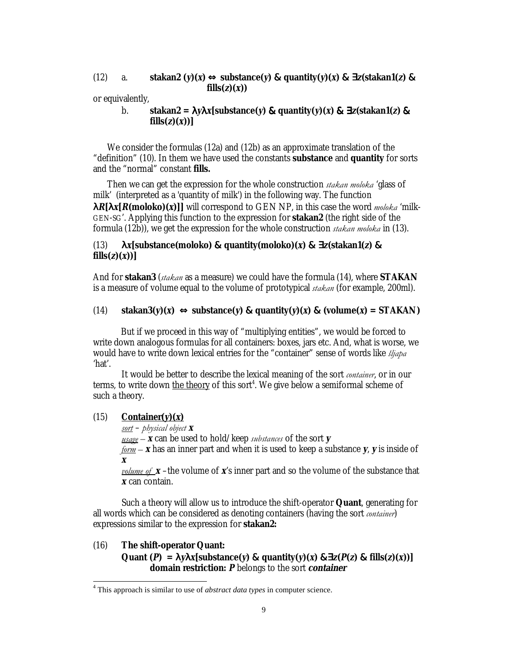### (12) a. **stakan2 (y)(x)** ⇔ **substance(y)** & **quantity(y)(x)** & ∃**z(stakan1(z)** &  $\mathbf{fills}(\mathbf{z})(\mathbf{x})$

or equivalently,

 b. **stakan2 =** λ**y**λ**x[substance(y)** & **quantity(y)(x)** & ∃**z(stakan1(z)** &  $\textbf{fills}(z)(x))$ ]

We consider the formulas (12a) and (12b) as an approximate translation of the "definition" (10). In them we have used the constants **substance** and **quantity** for sorts and the "normal" constant **fills.** 

Then we can get the expression for the whole construction *stakan moloka* 'glass of milk' (interpreted as a 'quantity of milk') in the following way. The function λ**R[**λ**x[R(moloko)(x)]]** will correspond to GEN NP, in this case the word *moloka* 'milk-GEN-SG'. Applying this function to the expression for **stakan2** (the right side of the formula (12b)), we get the expression for the whole construction *stakan moloka* in (13).

## (13) λ**x[substance(moloko)** & **quantity(moloko)(x)** & ∃**z(stakan1(z)** &  $\text{fills}(z)(x))$ ]

And for **stakan3** (*stakan* as a measure) we could have the formula (14), where **STAKAN**  is a measure of volume equal to the volume of prototypical *stakan* (for example, 200ml).

## $(14)$  **stakan3(** $y$ )( $x$ )  $\Leftrightarrow$  substance( $y$ ) & quantity( $y$ )( $x$ ) & (volume( $x$ ) = STAKAN)

But if we proceed in this way of "multiplying entities", we would be forced to write down analogous formulas for all containers: boxes, jars etc. And, what is worse, we would have to write down lexical entries for the "container" sense of words like *öljapa*  'hat'.

It would be better to describe the lexical meaning of the sort *container*, or in our terms, to write down <u>the theory</u> of this sort<sup>4</sup>. We give below a semiformal scheme of such a theory.

 $(15)$  **Container** $(y)(x)$ 

*sort* – *physical object* **<sup>x</sup>**  $usage - x$  can be used to hold/keep *substances* of the sort **y** *form*  $\alpha$  **x** has an inner part and when it is used to keep a substance **y**, **y** is inside of **x** 

*volume of* **x** –the volume of **x**'s inner part and so the volume of the substance that **<sup>x</sup>**can contain.

Such a theory will allow us to introduce the shift-operator **Quant**, generating for all words which can be considered as denoting containers (having the sort *container*) expressions similar to the expression for **stakan2:**

# (16) **The shift-operator Quant:**  Quant (P) =  $\lambda y \lambda x$ [substance(y) & quantity(y)(x) &  $\exists z(P(z) \& \text{fills}(z)(x))$ ]  **domain restriction: P** belongs to the sort **container**

 4 This approach is similar to use of *abstract data types* in computer science.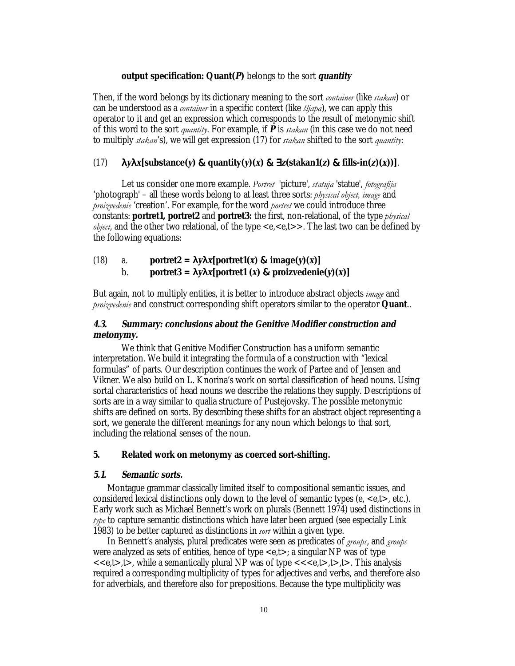### **output specification: Quant(P)** belongs to the sort **quantity**

Then, if the word belongs by its dictionary meaning to the sort *container* (like *stakan*) or can be understood as a *container* in a specific context (like *öljapa*), we can apply this operator to it and get an expression which corresponds to the result of metonymic shift of this word to the sort *quantity*. For example, if **P** is *stakan* (in this case we do not need to multiply *stakan*'s), we will get expression (17) for *stakan* shifted to the sort *quantity*:

### $\lambda y \lambda x [\text{substance}(y) \& \text{quantity}(y)(x) \& \exists z (\text{stakan1}(z) \& \text{fills-in}(z)(x))].$

 Let us consider one more example. *Portret* 'picture', *statuja* 'statue', *fotografija*  'photograph' – all these words belong to at least three sorts: *physical object, image* and *proizvedenie* 'creation'. For example, for the word *portret* we could introduce three constants: **portret1, portret2** and **portret3:** the first, non-relational, of the type *physical object*, and the other two relational, of the type  $\langle e, \langle e, t \rangle \rangle$ . The last two can be defined by the following equations:

## (18) a. **portret2 =**  $\lambda y \lambda x$ [portret1(x) & image(y)(x)] b. **portret3 =**  $\lambda y \lambda x$ [portret1 (*x*) & proizvedenie(*y*)(*x*)]

But again, not to multiply entities, it is better to introduce abstract objects *image* and *proizvedenie* and construct corresponding shift operators similar to the operator **Quant**..

## **4.3. Summary: conclusions about the Genitive Modifier construction and metonymy.**

 We think that Genitive Modifier Construction has a uniform semantic interpretation. We build it integrating the formula of a construction with "lexical formulas" of parts. Our description continues the work of Partee and of Jensen and Vikner. We also build on L. Knorina's work on sortal classification of head nouns. Using sortal characteristics of head nouns we describe the relations they supply. Descriptions of sorts are in a way similar to qualia structure of Pustejovsky. The possible metonymic shifts are defined on sorts. By describing these shifts for an abstract object representing a sort, we generate the different meanings for any noun which belongs to that sort, including the relational senses of the noun.

### **5. Related work on metonymy as coerced sort-shifting.**

#### **5.1. Semantic sorts.**

Montague grammar classically limited itself to compositional semantic issues, and considered lexical distinctions only down to the level of semantic types  $(e, < e, t)$ , etc.). Early work such as Michael Bennett's work on plurals (Bennett 1974) used distinctions in *type* to capture semantic distinctions which have later been argued (see especially Link 1983) to be better captured as distinctions in *sort* within a given type.

In Bennett's analysis, plural predicates were seen as predicates of *groups*, and *groups* were analyzed as sets of entities, hence of type  $\langle e,t\rangle$ ; a singular NP was of type  $\langle\langle e,t\rangle,t\rangle$ , while a semantically plural NP was of type  $\langle\langle e,t\rangle,t\rangle,t\rangle$ . This analysis required a corresponding multiplicity of types for adjectives and verbs, and therefore also for adverbials, and therefore also for prepositions. Because the type multiplicity was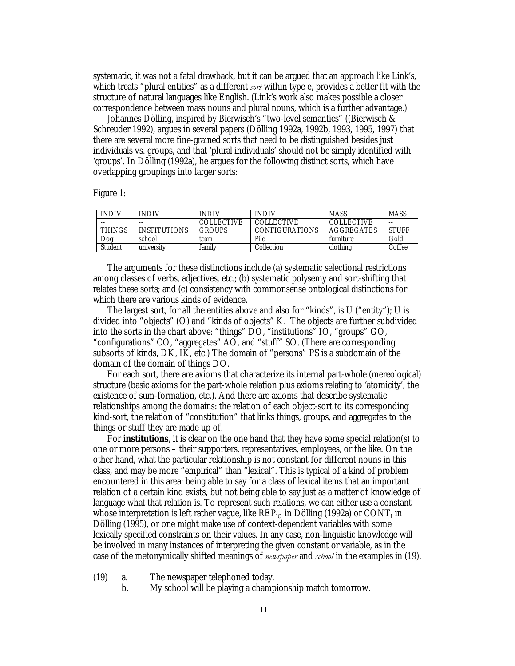systematic, it was not a fatal drawback, but it can be argued that an approach like Link's, which treats "plural entities" as a different *sort* within type e, provides a better fit with the structure of natural languages like English. (Link's work also makes possible a closer correspondence between mass nouns and plural nouns, which is a further advantage.)

Johannes Dölling, inspired by Bierwisch's "two-level semantics" ((Bierwisch & Schreuder 1992), argues in several papers (Dölling 1992a, 1992b, 1993, 1995, 1997) that there are several more fine-grained sorts that need to be distinguished besides just individuals vs. groups, and that 'plural individuals' should not be simply identified with 'groups'. In Dölling (1992a), he argues for the following distinct sorts, which have overlapping groupings into larger sorts:

Figure 1:

| <b>INDIV</b>   | <b>INDIV</b>        | <b>INDIV</b>      | <b>INDIV</b>          | <b>MASS</b>       | <b>MASS</b>  |
|----------------|---------------------|-------------------|-----------------------|-------------------|--------------|
| $- -$          | $- -$               | <b>COLLECTIVE</b> | COLLECTIVE            | COLLECTIVE        | $- -$        |
| <b>THINGS</b>  | <b>INSTITUTIONS</b> | <b>GROUPS</b>     | <b>CONFIGURATIONS</b> | <b>AGGREGATES</b> | <b>STUFF</b> |
| Dog            | school              | team              | Pile                  | furniture         | Gold         |
| <b>Student</b> | university          | family            | Collection            | clothing          | Coffee       |

The arguments for these distinctions include (a) systematic selectional restrictions among classes of verbs, adjectives, etc.; (b) systematic polysemy and sort-shifting that relates these sorts; and (c) consistency with commonsense ontological distinctions for which there are various kinds of evidence.

The largest sort, for all the entities above and also for "kinds", is U ("entity"); U is divided into "objects" (O) and "kinds of objects" K. The objects are further subdivided into the sorts in the chart above: "things" DO, "institutions" IO, "groups" GO, "configurations" CO, "aggregates" AO, and "stuff" SO. (There are corresponding subsorts of kinds, DK, IK, etc.) The domain of "persons" PS is a subdomain of the domain of the domain of things DO.

For each sort, there are axioms that characterize its internal part-whole (mereological) structure (basic axioms for the part-whole relation plus axioms relating to 'atomicity', the existence of sum-formation, etc.). And there are axioms that describe systematic relationships among the domains: the relation of each object-sort to its corresponding kind-sort, the relation of "constitution" that links things, groups, and aggregates to the things or stuff they are made up of.

For **institutions**, it is clear on the one hand that they have some special relation(s) to one or more persons – their supporters, representatives, employees, or the like. On the other hand, what the particular relationship is not constant for different nouns in this class, and may be more "empirical" than "lexical". This is typical of a kind of problem encountered in this area: being able to say for a class of lexical items that an important relation of a certain kind exists, but not being able to say just as a matter of knowledge of language what that relation is. To represent such relations, we can either use a constant whose interpretation is left rather vague, like  $\text{REP}_{\text{IO}}$  in Dölling (1992a) or  $\text{CONT}_{\text{I}}$  in Dölling (1995), or one might make use of context-dependent variables with some lexically specified constraints on their values. In any case, non-linguistic knowledge will be involved in many instances of interpreting the given constant or variable, as in the case of the metonymically shifted meanings of *newspaper* and *school* in the examples in (19).

- (19) a. The newspaper telephoned today.
	- b. My school will be playing a championship match tomorrow.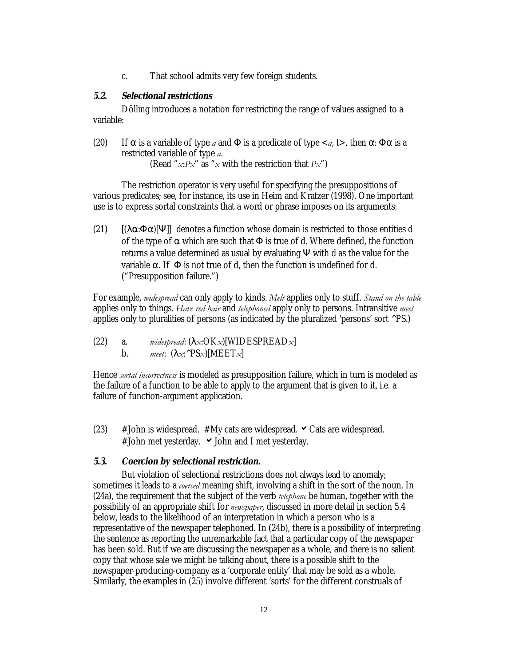c. That school admits very few foreign students.

## **5.2. Selectional restrictions**

 Dölling introduces a notation for restricting the range of values assigned to a variable:

(20) If  $\alpha$  is a variable of type *a* and  $\Phi$  is a predicate of type  $\langle a, t \rangle$ , then  $\alpha$ :  $\Phi \alpha$  is a restricted variable of type *a*. (Read " $x:Px$ " as "x with the restriction that  $Px$ ")

 The restriction operator is very useful for specifying the presuppositions of various predicates; see, for instance, its use in Heim and Kratzer (1998). One important use is to express sortal constraints that a word or phrase imposes on its arguments:

(21)  $[(\lambda \alpha : \Phi \alpha)[\Psi]]$  denotes a function whose domain is restricted to those entities d of the type of  $\alpha$  which are such that  $\Phi$  is true of d. Where defined, the function returns a value determined as usual by evaluating Ψ with d as the value for the variable  $\alpha$ . If  $\Phi$  is not true of d, then the function is undefined for d. ("Presupposition failure.")

For example, *widespread* can only apply to kinds. *Melt* applies only to stuff. *Stand on the table* applies only to things. *Have red hair* and *telephoned* apply only to persons. Intransitive *meet*  applies only to pluralities of persons (as indicated by the pluralized 'persons' sort ^PS.)

(22) a. *widespread*: (λ*x*:OK*x*)[WIDESPREAD*x*] b. *meet*: (λ*x*:^PS*x*)[MEET*x*]

Hence *sortal incorrectness* is modeled as presupposition failure, which in turn is modeled as the failure of a function to be able to apply to the argument that is given to it, i.e. a failure of function-argument application.

(23) #John is widespread. #My cats are widespread.  $\checkmark$  Cats are widespread. #John met yesterday.  $\checkmark$  John and I met yesterday.

## **5.3. Coercion by selectional restriction.**

 But violation of selectional restrictions does not always lead to anomaly; sometimes it leads to a *coerced* meaning shift, involving a shift in the sort of the noun. In (24a), the requirement that the subject of the verb *telephone* be human, together with the possibility of an appropriate shift for *newspaper*, discussed in more detail in section 5.4 below, leads to the likelihood of an interpretation in which a person who is a representative of the newspaper telephoned. In (24b), there is a possibility of interpreting the sentence as reporting the unremarkable fact that a particular copy of the newspaper has been sold. But if we are discussing the newspaper as a whole, and there is no salient copy that whose sale we might be talking about, there is a possible shift to the newspaper-producing-company as a 'corporate entity' that may be sold as a whole. Similarly, the examples in (25) involve different 'sorts' for the different construals of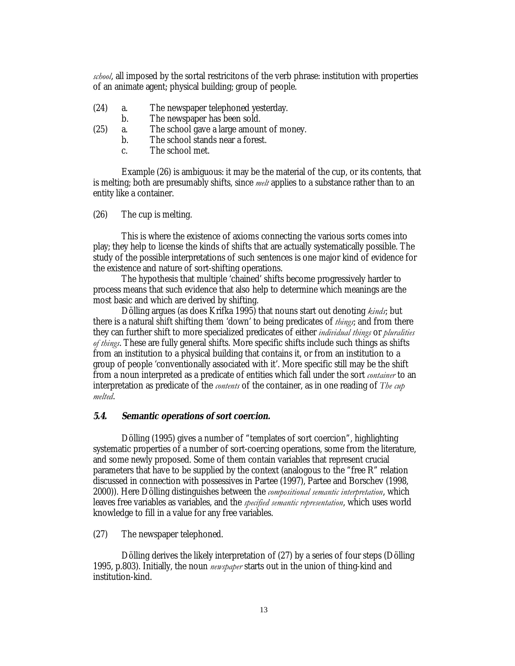*school*, all imposed by the sortal restricitons of the verb phrase: institution with properties of an animate agent; physical building; group of people.

- (24) a. The newspaper telephoned yesterday.
	- b. The newspaper has been sold.
- (25) a. The school gave a large amount of money.
	- b. The school stands near a forest.
	- c. The school met.

 Example (26) is ambiguous: it may be the material of the cup, or its contents, that is melting; both are presumably shifts, since *melt* applies to a substance rather than to an entity like a container.

(26) The cup is melting.

 This is where the existence of axioms connecting the various sorts comes into play; they help to license the kinds of shifts that are actually systematically possible. The study of the possible interpretations of such sentences is one major kind of evidence for the existence and nature of sort-shifting operations.

 The hypothesis that multiple 'chained' shifts become progressively harder to process means that such evidence that also help to determine which meanings are the most basic and which are derived by shifting.

 Dölling argues (as does Krifka 1995) that nouns start out denoting *kinds*; but there is a natural shift shifting them 'down' to being predicates of *things*; and from there they can further shift to more specialized predicates of either *individual things* or *pluralities of things*. These are fully general shifts. More specific shifts include such things as shifts from an institution to a physical building that contains it, or from an institution to a group of people 'conventionally associated with it'. More specific still may be the shift from a noun interpreted as a predicate of entities which fall under the sort *container* to an interpretation as predicate of the *contents* of the container, as in one reading of *The cup melted*.

### **5.4. Semantic operations of sort coercion.**

 Dölling (1995) gives a number of "templates of sort coercion", highlighting systematic properties of a number of sort-coercing operations, some from the literature, and some newly proposed. Some of them contain variables that represent crucial parameters that have to be supplied by the context (analogous to the "free R" relation discussed in connection with possessives in Partee (1997), Partee and Borschev (1998, 2000)). Here Dölling distinguishes between the *compositional semantic interpretation*, which leaves free variables as variables, and the *specified semantic representation*, which uses world knowledge to fill in a value for any free variables.

(27) The newspaper telephoned.

 Dölling derives the likely interpretation of (27) by a series of four steps (Dölling 1995, p.803). Initially, the noun *newspaper* starts out in the union of thing-kind and institution-kind.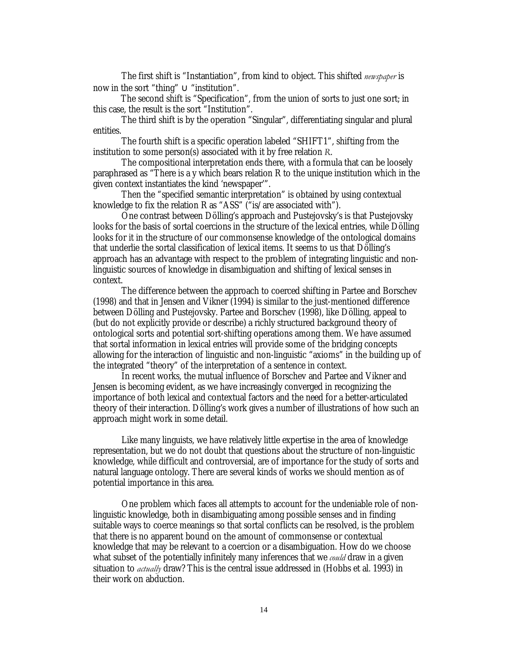The first shift is "Instantiation", from kind to object. This shifted *newspaper* is now in the sort "thing"  $\cup$  "institution".

The second shift is "Specification", from the union of sorts to just one sort; in this case, the result is the sort "Institution".

 The third shift is by the operation "Singular", differentiating singular and plural entities.

 The fourth shift is a specific operation labeled "SHIFT1", shifting from the institution to some person(s) associated with it by free relation *R*.

 The compositional interpretation ends there, with a formula that can be loosely paraphrased as "There is a y which bears relation R to the unique institution which in the given context instantiates the kind 'newspaper'".

 Then the "specified semantic interpretation" is obtained by using contextual knowledge to fix the relation R as "ASS" ("is/are associated with").

 One contrast between Dölling's approach and Pustejovsky's is that Pustejovsky looks for the basis of sortal coercions in the structure of the lexical entries, while Dölling looks for it in the structure of our commonsense knowledge of the ontological domains that underlie the sortal classification of lexical items. It seems to us that Dölling's approach has an advantage with respect to the problem of integrating linguistic and nonlinguistic sources of knowledge in disambiguation and shifting of lexical senses in context.

 The difference between the approach to coerced shifting in Partee and Borschev (1998) and that in Jensen and Vikner (1994) is similar to the just-mentioned difference between Dölling and Pustejovsky. Partee and Borschev (1998), like Dölling, appeal to (but do not explicitly provide or describe) a richly structured background theory of ontological sorts and potential sort-shifting operations among them. We have assumed that sortal information in lexical entries will provide some of the bridging concepts allowing for the interaction of linguistic and non-linguistic "axioms" in the building up of the integrated "theory" of the interpretation of a sentence in context.

 In recent works, the mutual influence of Borschev and Partee and Vikner and Jensen is becoming evident, as we have increasingly converged in recognizing the importance of both lexical and contextual factors and the need for a better-articulated theory of their interaction. Dölling's work gives a number of illustrations of how such an approach might work in some detail.

 Like many linguists, we have relatively little expertise in the area of knowledge representation, but we do not doubt that questions about the structure of non-linguistic knowledge, while difficult and controversial, are of importance for the study of sorts and natural language ontology. There are several kinds of works we should mention as of potential importance in this area.

 One problem which faces all attempts to account for the undeniable role of nonlinguistic knowledge, both in disambiguating among possible senses and in finding suitable ways to coerce meanings so that sortal conflicts can be resolved, is the problem that there is no apparent bound on the amount of commonsense or contextual knowledge that may be relevant to a coercion or a disambiguation. How do we choose what subset of the potentially infinitely many inferences that we *could* draw in a given situation to *actually* draw? This is the central issue addressed in (Hobbs et al. 1993) in their work on abduction.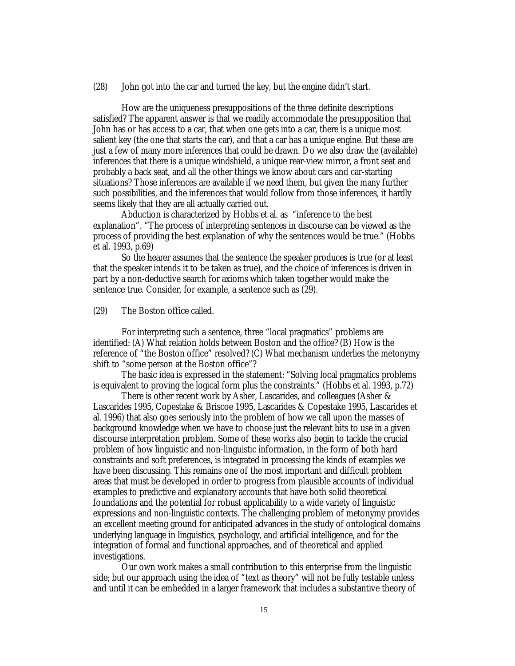(28) John got into the car and turned the key, but the engine didn't start.

 How are the uniqueness presuppositions of the three definite descriptions satisfied? The apparent answer is that we readily accommodate the presupposition that John has or has access to a car, that when one gets into a car, there is a unique most salient key (the one that starts the car), and that a car has a unique engine. But these are just a few of many more inferences that could be drawn. Do we also draw the (available) inferences that there is a unique windshield, a unique rear-view mirror, a front seat and probably a back seat, and all the other things we know about cars and car-starting situations? Those inferences are available if we need them, but given the many further such possibilities, and the inferences that would follow from those inferences, it hardly seems likely that they are all actually carried out.

 Abduction is characterized by Hobbs et al. as "inference to the best explanation". "The process of interpreting sentences in discourse can be viewed as the process of providing the best explanation of why the sentences would be true." (Hobbs et al. 1993, p.69)

 So the hearer assumes that the sentence the speaker produces is true (or at least that the speaker intends it to be taken as true), and the choice of inferences is driven in part by a non-deductive search for axioms which taken together would make the sentence true. Consider, for example, a sentence such as (29).

#### (29) The Boston office called.

 For interpreting such a sentence, three "local pragmatics" problems are identified: (A) What relation holds between Boston and the office? (B) How is the reference of "the Boston office" resolved? (C) What mechanism underlies the metonymy shift to "some person at the Boston office"?

 The basic idea is expressed in the statement: "Solving local pragmatics problems is equivalent to proving the logical form plus the constraints." (Hobbs et al. 1993, p.72)

 There is other recent work by Asher, Lascarides, and colleagues (Asher & Lascarides 1995, Copestake & Briscoe 1995, Lascarides & Copestake 1995, Lascarides et al. 1996) that also goes seriously into the problem of how we call upon the masses of background knowledge when we have to choose just the relevant bits to use in a given discourse interpretation problem. Some of these works also begin to tackle the crucial problem of how linguistic and non-linguistic information, in the form of both hard constraints and soft preferences, is integrated in processing the kinds of examples we have been discussing. This remains one of the most important and difficult problem areas that must be developed in order to progress from plausible accounts of individual examples to predictive and explanatory accounts that have both solid theoretical foundations and the potential for robust applicability to a wide variety of linguistic expressions and non-linguistic contexts. The challenging problem of metonymy provides an excellent meeting ground for anticipated advances in the study of ontological domains underlying language in linguistics, psychology, and artificial intelligence, and for the integration of formal and functional approaches, and of theoretical and applied investigations.

 Our own work makes a small contribution to this enterprise from the linguistic side; but our approach using the idea of "text as theory" will not be fully testable unless and until it can be embedded in a larger framework that includes a substantive theory of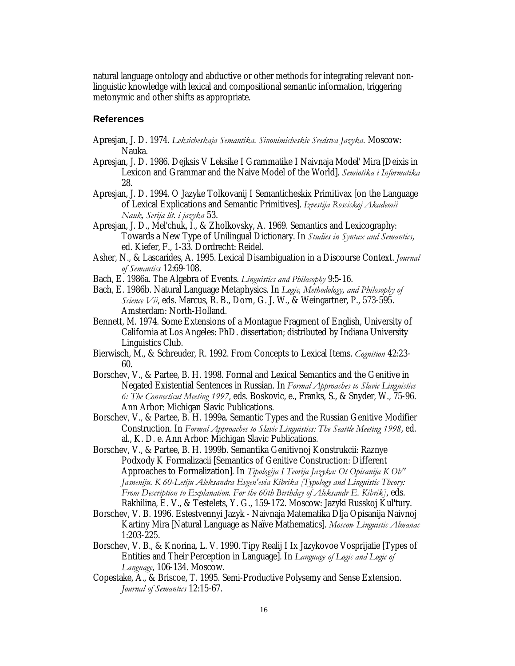natural language ontology and abductive or other methods for integrating relevant nonlinguistic knowledge with lexical and compositional semantic information, triggering metonymic and other shifts as appropriate.

### **References**

- Apresjan, J. D. 1974. *Leksicheskaja Semantika. Sinonimicheskie Sredstva Jazyka.* Moscow: Nauka.
- Apresjan, J. D. 1986. Dejksis V Leksike I Grammatike I Naivnaja Model' Mira [Deixis in Lexicon and Grammar and the Naive Model of the World]. *Semiotika i Informatika* 28.
- Apresjan, J. D. 1994. O Jazyke Tolkovanij I Semanticheskix Primitivax [on the Language of Lexical Explications and Semantic Primitives]. *Izvestija Rossiskoj Akademii Nauk, Serija lit. i jazyka* 53.
- Apresjan, J. D., Mel'chuk, I., & Zholkovsky, A. 1969. Semantics and Lexicography: Towards a New Type of Unilingual Dictionary. In *Studies in Syntax and Semantics*, ed. Kiefer, F., 1-33. Dordrecht: Reidel.
- Asher, N., & Lascarides, A. 1995. Lexical Disambiguation in a Discourse Context. *Journal of Semantics* 12:69-108.
- Bach, E. 1986a. The Algebra of Events. *Linguistics and Philosophy* 9:5-16.
- Bach, E. 1986b. Natural Language Metaphysics. In *Logic, Methodology, and Philosophy of Science Vii*, eds. Marcus, R. B., Dorn, G. J. W., & Weingartner, P., 573-595. Amsterdam: North-Holland.
- Bennett, M. 1974. Some Extensions of a Montague Fragment of English, University of California at Los Angeles: PhD. dissertation; distributed by Indiana University Linguistics Club.
- Bierwisch, M., & Schreuder, R. 1992. From Concepts to Lexical Items. *Cognition* 42:23- 60.
- Borschev, V., & Partee, B. H. 1998. Formal and Lexical Semantics and the Genitive in Negated Existential Sentences in Russian. In *Formal Approaches to Slavic Linguistics 6: The Connecticut Meeting 1997*, eds. Boskovic, e., Franks, S., & Snyder, W., 75-96. Ann Arbor: Michigan Slavic Publications.
- Borschev, V., & Partee, B. H. 1999a. Semantic Types and the Russian Genitive Modifier Construction. In *Formal Approaches to Slavic Linguistics: The Seattle Meeting 1998*, ed. al., K. D. e. Ann Arbor: Michigan Slavic Publications.
- Borschev, V., & Partee, B. H. 1999b. Semantika Genitivnoj Konstrukcii: Raznye Podxody K Formalizacii [Semantics of Genitive Construction: Different Approaches to Formalization]. In *Tipologija I Teorija Jazyka: Ot Opisanija K Ob" Jasneniju. K 60-Letiju Aleksandra Evgen'evia Kibrika [Typology and Linguistic Theory: From Description to Explanation. For the 60th Birthday of Aleksandr E. Kibrik]*, eds. Rakhilina, E. V., & Testelets, Y. G., 159-172. Moscow: Jazyki Russkoj Kul'tury.
- Borschev, V. B. 1996. Estestvennyi Jazyk Naivnaja Matematika Dlja Opisanija Naivnoj Kartiny Mira [Natural Language as Naïve Mathematics]. *Moscow Linguistic Almanac* 1:203-225.
- Borschev, V. B., & Knorina, L. V. 1990. Tipy Realij I Ix Jazykovoe Vosprijatie [Types of Entities and Their Perception in Language]. In *Language of Logic and Logic of Language*, 106-134. Moscow.
- Copestake, A., & Briscoe, T. 1995. Semi-Productive Polysemy and Sense Extension. *Journal of Semantics* 12:15-67.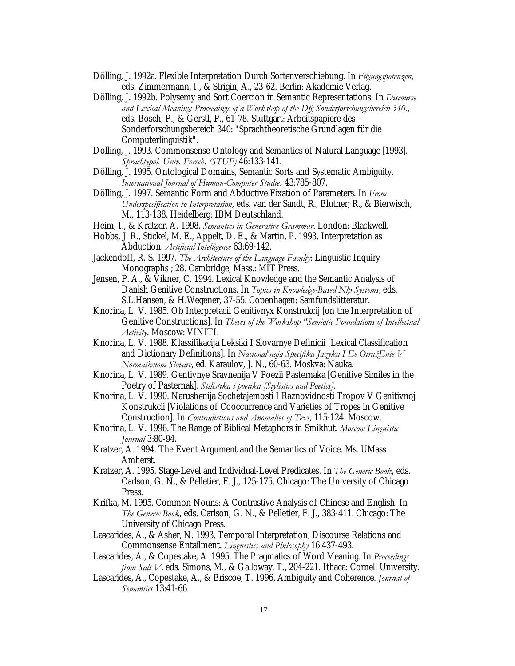- Dölling, J. 1992a. Flexible Interpretation Durch Sortenverschiebung. In *Fügungspotenzen*, eds. Zimmermann, I., & Strigin, A., 23-62. Berlin: Akademie Verlag.
- Dölling, J. 1992b. Polysemy and Sort Coercion in Semantic Representations. In *Discourse and Lexical Meaning: Proceedings of a Workshop of the Dfg Sonderforschungsbereich 340.*, eds. Bosch, P., & Gerstl, P., 61-78. Stuttgart: Arbeitspapiere des Sonderforschungsbereich 340: "Sprachtheoretische Grundlagen für die Computerlinguistik".
- Dölling, J. 1993. Commonsense Ontology and Semantics of Natural Language [1993]. *Sprachtypol. Univ. Forsch. (STUF)* 46:133-141.
- Dölling, J. 1995. Ontological Domains, Semantic Sorts and Systematic Ambiguity. *International Journal of Human-Computer Studies* 43:785-807.
- Dölling, J. 1997. Semantic Form and Abductive Fixation of Parameters. In *From Underspecification to Interpretation*, eds. van der Sandt, R., Blutner, R., & Bierwisch, M., 113-138. Heidelberg: IBM Deutschland.
- Heim, I., & Kratzer, A. 1998. *Semantics in Generative Grammar*. London: Blackwell.
- Hobbs, J. R., Stickel, M. E., Appelt, D. E., & Martin, P. 1993. Interpretation as Abduction. *Artificial Intelligence* 63:69-142.
- Jackendoff, R. S. 1997. *The Architecture of the Language Faculty*: Linguistic Inquiry Monographs ; 28. Cambridge, Mass.: MIT Press.
- Jensen, P. A., & Vikner, C. 1994. Lexical Knowledge and the Semantic Analysis of Danish Genitive Constructions. In *Topics in Knowledge-Based Nlp Systems*, eds. S.L.Hansen, & H.Wegener, 37-55. Copenhagen: Samfundslitteratur.
- Knorina, L. V. 1985. Ob Interpretacii Genitivnyx Konstrukcij [on the Interpretation of Genitive Constructions]. In *Theses of the Workshop "Semiotic Foundations of Intellectual Activity*. Moscow: VINITI.
- Knorina, L. V. 1988. Klassifikacija Leksiki I Slovarnye Definicii [Lexical Classification and Dictionary Definitions]. In *Nacional'naja Specifika Jazyka I Ee OtražEnie V Normativnom Slovare*, ed. Karaulov, J. N., 60-63. Moskva: Nauka.
- Knorina, L. V. 1989. Gentivnye Sravnenija V Poezii Pasternaka [Genitive Similes in the Poetry of Pasternak]. *Stilistika i poetika [Stylistics and Poetics]*.
- Knorina, L. V. 1990. Narushenija Sochetajemosti I Raznovidnosti Tropov V Genitivnoj Konstrukcii [Violations of Cooccurrence and Varieties of Tropes in Genitive Construction]. In *Contradictions and Anomalies of Text*, 115-124. Moscow.
- Knorina, L. V. 1996. The Range of Biblical Metaphors in Smikhut. *Moscow Linguistic Journal* 3:80-94.
- Kratzer, A. 1994. The Event Argument and the Semantics of Voice. Ms. UMass Amherst.
- Kratzer, A. 1995. Stage-Level and Individual-Level Predicates. In *The Generic Book*, eds. Carlson, G. N., & Pelletier, F. J., 125-175. Chicago: The University of Chicago Press.
- Krifka, M. 1995. Common Nouns: A Contrastive Analysis of Chinese and English. In *The Generic Book*, eds. Carlson, G. N., & Pelletier, F. J., 383-411. Chicago: The University of Chicago Press.
- Lascarides, A., & Asher, N. 1993. Temporal Interpretation, Discourse Relations and Commonsense Entailment. *Linguistics and Philosophy* 16:437-493.
- Lascarides, A., & Copestake, A. 1995. The Pragmatics of Word Meaning. In *Proceedings from Salt V*, eds. Simons, M., & Galloway, T., 204-221. Ithaca: Cornell University.
- Lascarides, A., Copestake, A., & Briscoe, T. 1996. Ambiguity and Coherence. *Journal of Semantics* 13:41-66.